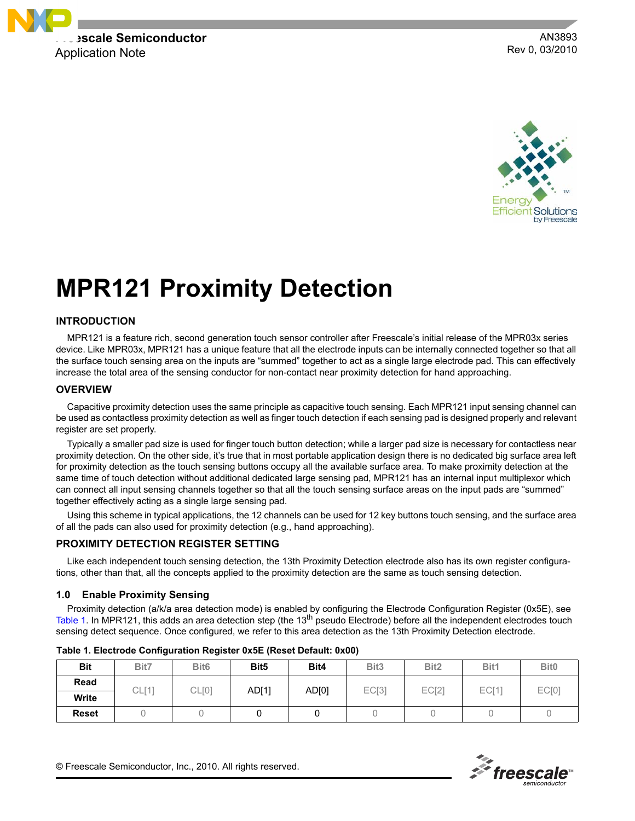

AN3893 Rev 0, 03/2010



# **MPR121 Proximity Detection**

# **INTRODUCTION**

MPR121 is a feature rich, second generation touch sensor controller after Freescale's initial release of the MPR03x series device. Like MPR03x, MPR121 has a unique feature that all the electrode inputs can be internally connected together so that all the surface touch sensing area on the inputs are "summed" together to act as a single large electrode pad. This can effectively increase the total area of the sensing conductor for non-contact near proximity detection for hand approaching.

#### **OVERVIEW**

Capacitive proximity detection uses the same principle as capacitive touch sensing. Each MPR121 input sensing channel can be used as contactless proximity detection as well as finger touch detection if each sensing pad is designed properly and relevant register are set properly.

Typically a smaller pad size is used for finger touch button detection; while a larger pad size is necessary for contactless near proximity detection. On the other side, it's true that in most portable application design there is no dedicated big surface area left for proximity detection as the touch sensing buttons occupy all the available surface area. To make proximity detection at the same time of touch detection without additional dedicated large sensing pad, MPR121 has an internal input multiplexor which can connect all input sensing channels together so that all the touch sensing surface areas on the input pads are "summed" together effectively acting as a single large sensing pad.

Using this scheme in typical applications, the 12 channels can be used for 12 key buttons touch sensing, and the surface area of all the pads can also used for proximity detection (e.g., hand approaching).

# **PROXIMITY DETECTION REGISTER SETTING**

Like each independent touch sensing detection, the 13th Proximity Detection electrode also has its own register configurations, other than that, all the concepts applied to the proximity detection are the same as touch sensing detection.

#### **1.0 Enable Proximity Sensing**

Proximity detection (a/k/a area detection mode) is enabled by configuring the Electrode Configuration Register (0x5E), see [Table](#page-0-0) 1. In MPR121, this adds an area detection step (the 13<sup>th</sup> pseudo Electrode) before all the independent electrodes touch sensing detect sequence. Once configured, we refer to this area detection as the 13th Proximity Detection electrode.

| <b>Bit</b>   | Bit7               | Bit <sub>6</sub> | Bit <sub>5</sub> | Bit4  | Bit <sub>3</sub> | Bit <sub>2</sub> | Bit1  | Bit <sub>0</sub> |
|--------------|--------------------|------------------|------------------|-------|------------------|------------------|-------|------------------|
| Read         | $\cap$ [4]<br>∪∟∣∣ | CL[0]            | AD[1]            | AD[0] | EC[3]            | EC[2]            | EC[1] | EC[0]            |
| <b>Write</b> |                    |                  |                  |       |                  |                  |       |                  |
| <b>Reset</b> |                    |                  |                  |       |                  |                  |       |                  |

<span id="page-0-0"></span>

| Table 1. Electrode Configuration Register 0x5E (Reset Default: 0x00) |  |  |  |
|----------------------------------------------------------------------|--|--|--|
|----------------------------------------------------------------------|--|--|--|

 $\mathscr{F}$  freescale

© Freescale Semiconductor, Inc., 2010. All rights reserved.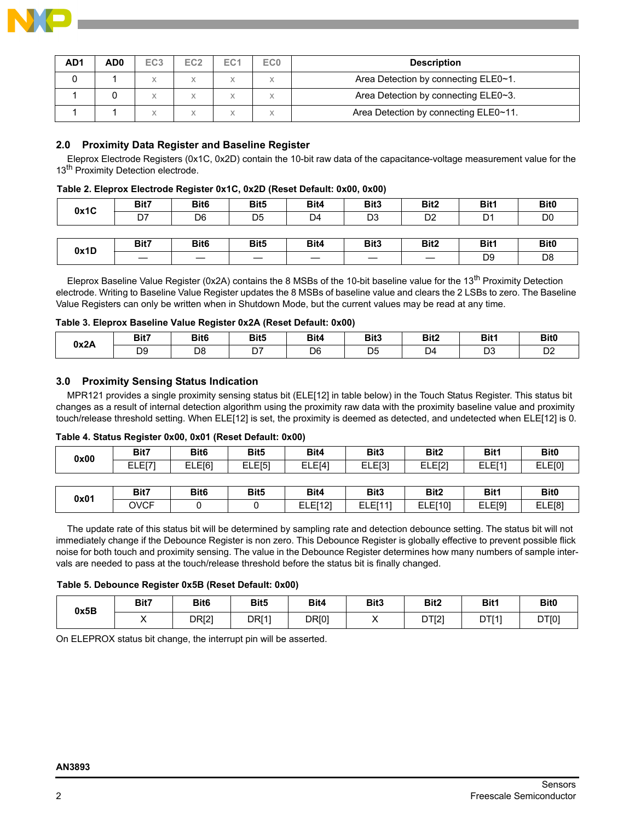

| AD <sub>1</sub> | AD <sub>0</sub> | EC <sub>3</sub> | EC <sub>2</sub> | EC <sub>1</sub> | EC <sub>0</sub> | <b>Description</b>                    |
|-----------------|-----------------|-----------------|-----------------|-----------------|-----------------|---------------------------------------|
|                 |                 | X               |                 |                 |                 | Area Detection by connecting ELE0~1.  |
|                 |                 | X               |                 |                 |                 | Area Detection by connecting ELE0~3.  |
|                 |                 | Χ               |                 |                 |                 | Area Detection by connecting ELE0~11. |

# **2.0 Proximity Data Register and Baseline Register**

Eleprox Electrode Registers (0x1C, 0x2D) contain the 10-bit raw data of the capacitance-voltage measurement value for the 13<sup>th</sup> Proximity Detection electrode.

#### **Table 2. Eleprox Electrode Register 0x1C, 0x2D (Reset Default: 0x00, 0x00)**

| 0x1C | Bit7 | Bit <sub>6</sub> | Bit <sub>5</sub> | Bit4           | Bit <sub>3</sub> | Bit <sub>2</sub> | Bit1           | Bit <sub>0</sub> |
|------|------|------------------|------------------|----------------|------------------|------------------|----------------|------------------|
|      | D7   | D <sub>6</sub>   | D <sub>5</sub>   | D <sub>4</sub> | D3               | D <sub>2</sub>   | D <sub>1</sub> | D <sub>0</sub>   |
|      |      |                  |                  |                |                  |                  |                |                  |
| 0x1D | Bit7 | Bit <sub>6</sub> | Bit <sub>5</sub> | Bit4           | Bit <sub>3</sub> | Bit <sub>2</sub> | Bit1           | Bit <sub>0</sub> |
|      |      |                  |                  |                |                  |                  | D <sub>9</sub> | D <sub>8</sub>   |

Eleprox Baseline Value Register (0x2A) contains the 8 MSBs of the 10-bit baseline value for the 13<sup>th</sup> Proximity Detection electrode. Writing to Baseline Value Register updates the 8 MSBs of baseline value and clears the 2 LSBs to zero. The Baseline Value Registers can only be written when in Shutdown Mode, but the current values may be read at any time.

#### **Table 3. Eleprox Baseline Value Register 0x2A (Reset Default: 0x00)**

| 0x2A | Bit7           | Bit <sub>6</sub> | Bit <sub>5</sub>     | Bit4           | Bit3           | Bit2 | Bit1 | Bit <sub>0</sub> |
|------|----------------|------------------|----------------------|----------------|----------------|------|------|------------------|
|      | D <sub>9</sub> | D <sub>8</sub>   | $\sim$ $\sim$<br>ו ש | D <sub>6</sub> | D <sub>5</sub> | D4   | D3   | D <sub>2</sub>   |

#### **3.0 Proximity Sensing Status Indication**

MPR121 provides a single proximity sensing status bit (ELE[12] in table below) in the Touch Status Register. This status bit changes as a result of internal detection algorithm using the proximity raw data with the proximity baseline value and proximity touch/release threshold setting. When ELE[12] is set, the proximity is deemed as detected, and undetected when ELE[12] is 0.

#### **Table 4. Status Register 0x00, 0x01 (Reset Default: 0x00)**

| 0x00 | Bit7        | Bit <sub>6</sub> | Bit <sub>5</sub> | Bit4    | Bit <sub>3</sub>   | Bit <sub>2</sub> | Bit1               | Bit <sub>0</sub> |
|------|-------------|------------------|------------------|---------|--------------------|------------------|--------------------|------------------|
|      | ELE[7]      | ELE[6]           | ELE[5]           | ELE[4]  | ELE <sub>[3]</sub> | ELE[2]           | ELE[1]             | ELE[0]           |
|      |             |                  |                  |         |                    |                  |                    |                  |
| 0x01 | Bit7        | Bit <sub>6</sub> | Bit <sub>5</sub> | Bit4    | Bit <sub>3</sub>   | Bit <sub>2</sub> | Bit1               | Bit <sub>0</sub> |
|      | <b>OVCF</b> |                  |                  | ELE[12] | <b>ELE[11]</b>     | <b>ELE[10]</b>   | ELE <sub>[9]</sub> | ELE[8]           |

The update rate of this status bit will be determined by sampling rate and detection debounce setting. The status bit will not immediately change if the Debounce Register is non zero. This Debounce Register is globally effective to prevent possible flick noise for both touch and proximity sensing. The value in the Debounce Register determines how many numbers of sample intervals are needed to pass at the touch/release threshold before the status bit is finally changed.

#### **Table 5. Debounce Register 0x5B (Reset Default: 0x00)**

| 0x5B | Bit7 | Bit6         | Bit <sub>5</sub> | Bit4  | Bit3 | Bit <sub>2</sub> | Bit1  | <b>Bit0</b> |
|------|------|--------------|------------------|-------|------|------------------|-------|-------------|
|      |      | <b>DR[2]</b> | <b>DRI11</b>     | DR[0] |      | DT[2]            | DTI11 | DT[0]       |

On ELEPROX status bit change, the interrupt pin will be asserted.

#### **AN3893**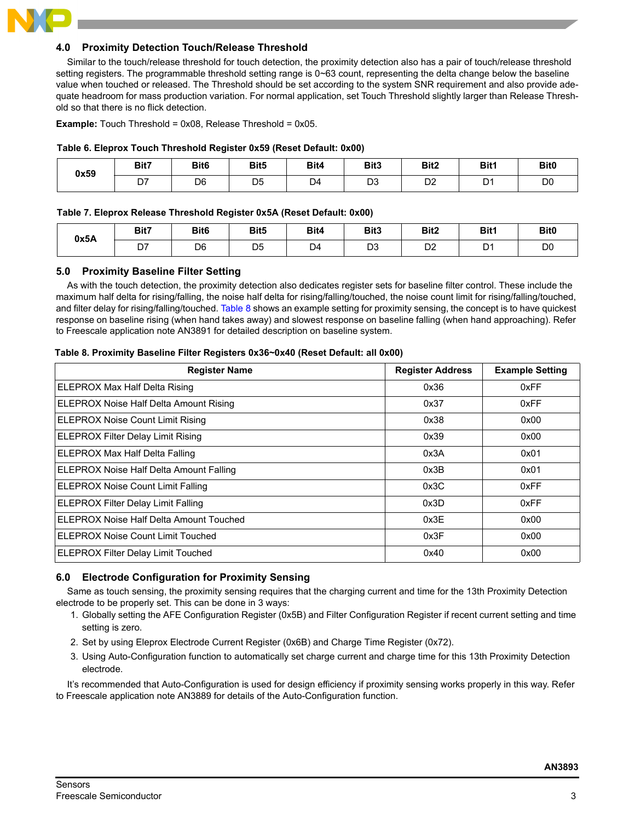

# **4.0 Proximity Detection Touch/Release Threshold**

Similar to the touch/release threshold for touch detection, the proximity detection also has a pair of touch/release threshold setting registers. The programmable threshold setting range is  $0\nu$ 63 count, representing the delta change below the baseline value when touched or released. The Threshold should be set according to the system SNR requirement and also provide adequate headroom for mass production variation. For normal application, set Touch Threshold slightly larger than Release Threshold so that there is no flick detection.

**Example:** Touch Threshold = 0x08, Release Threshold = 0x05.

#### **Table 6. Eleprox Touch Threshold Register 0x59 (Reset Default: 0x00)**

| 0x59 | Bit7          | Bit <sub>6</sub> | Bit5           | Bit4           | Bit3      | Bit2               | Bit1                | Bit <sub>0</sub> |
|------|---------------|------------------|----------------|----------------|-----------|--------------------|---------------------|------------------|
|      | $\sim$<br>، ب | D <sub>6</sub>   | D <sub>5</sub> | D <sub>4</sub> | n o<br>ບບ | <sub>n</sub><br>◡∠ | D <sub>1</sub><br>് | D <sub>0</sub>   |

#### **Table 7. Eleprox Release Threshold Register 0x5A (Reset Default: 0x00)**

| 0x5A | Bit7 | Bit <sub>6</sub> | Bit <sub>5</sub> | Bit4           | Bit3 | Bit <sub>2</sub>     | Bit1           | Bit <sub>0</sub> |
|------|------|------------------|------------------|----------------|------|----------------------|----------------|------------------|
|      | D7   | D <sub>6</sub>   | D <sub>5</sub>   | D <sub>4</sub> | D3   | D <sub>0</sub><br>υz | D <sub>1</sub> | D(<br>$\sim$     |

#### **5.0 Proximity Baseline Filter Setting**

As with the touch detection, the proximity detection also dedicates register sets for baseline filter control. These include the maximum half delta for rising/falling, the noise half delta for rising/falling/touched, the noise count limit for rising/falling/touched, and filter delay for rising/falling/touched. [Table](#page-2-0) 8 shows an example setting for proximity sensing, the concept is to have quickest response on baseline rising (when hand takes away) and slowest response on baseline falling (when hand approaching). Refer to Freescale application note AN3891 for detailed description on baseline system.

#### <span id="page-2-0"></span>**Table 8. Proximity Baseline Filter Registers 0x36~0x40 (Reset Default: all 0x00)**

| <b>Register Name</b>                      | <b>Register Address</b> | <b>Example Setting</b> |
|-------------------------------------------|-------------------------|------------------------|
| ELEPROX Max Half Delta Rising             | 0x36                    | 0xFF                   |
| ELEPROX Noise Half Delta Amount Rising    | 0x37                    | 0xFF                   |
| <b>ELEPROX Noise Count Limit Rising</b>   | 0x38                    | 0x00                   |
| <b>ELEPROX Filter Delay Limit Rising</b>  | 0x39                    | 0x00                   |
| <b>ELEPROX Max Half Delta Falling</b>     | 0x3A                    | 0x01                   |
| ELEPROX Noise Half Delta Amount Falling   | 0x3B                    | 0x01                   |
| <b>ELEPROX Noise Count Limit Falling</b>  | 0x3C                    | 0xFF                   |
| <b>ELEPROX Filter Delay Limit Falling</b> | 0x3D                    | 0xFF                   |
| ELEPROX Noise Half Delta Amount Touched   | 0x3E                    | 0x00                   |
| <b>ELEPROX Noise Count Limit Touched</b>  | 0x3F                    | 0x00                   |
| <b>ELEPROX Filter Delay Limit Touched</b> | 0x40                    | 0x00                   |

# **6.0 Electrode Configuration for Proximity Sensing**

Same as touch sensing, the proximity sensing requires that the charging current and time for the 13th Proximity Detection electrode to be properly set. This can be done in 3 ways:

- 1. Globally setting the AFE Configuration Register (0x5B) and Filter Configuration Register if recent current setting and time setting is zero.
- 2. Set by using Eleprox Electrode Current Register (0x6B) and Charge Time Register (0x72).
- 3. Using Auto-Configuration function to automatically set charge current and charge time for this 13th Proximity Detection electrode.

It's recommended that Auto-Configuration is used for design efficiency if proximity sensing works properly in this way. Refer to Freescale application note AN3889 for details of the Auto-Configuration function.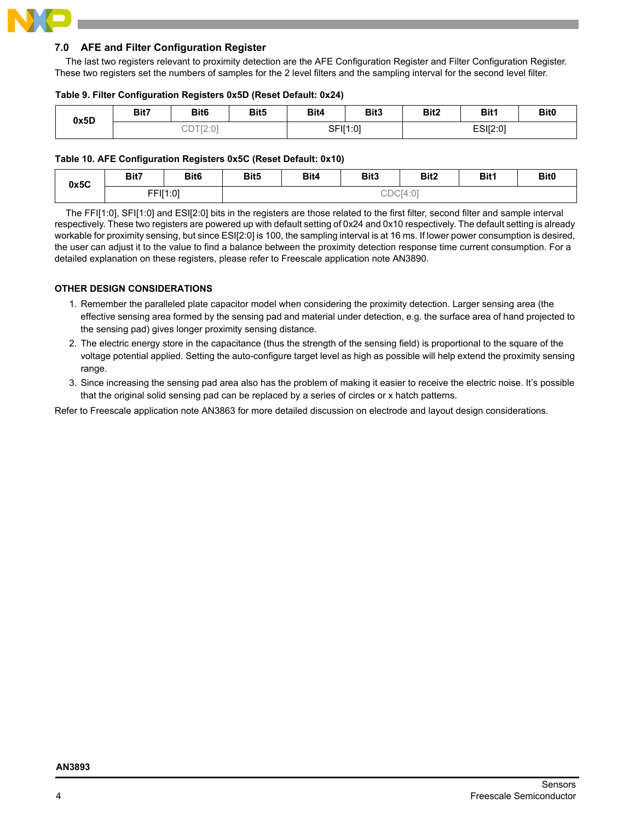# **7.0 AFE and Filter Configuration Register**

The last two registers relevant to proximity detection are the AFE Configuration Register and Filter Configuration Register. These two registers set the numbers of samples for the 2 level filters and the sampling interval for the second level filter.

# **Table 9. Filter Configuration Registers 0x5D (Reset Default: 0x24)**

| 0x5D | Bit <sub>6</sub><br>Bit7 |                                      | Bit <sub>5</sub> | Bit4     | Bit3 | Bit <sub>2</sub> | Bit1 | Bit <sub>0</sub> |
|------|--------------------------|--------------------------------------|------------------|----------|------|------------------|------|------------------|
|      |                          | $T \cap . \cap T$<br>$\angle$ .<br>ー |                  | SFI[1:0] |      | ESI[2:0]         |      |                  |

# **Table 10. AFE Configuration Registers 0x5C (Reset Default: 0x10)**

| 0x5C | Bit7     | Bit <sub>6</sub> | Bit <sub>5</sub> | Bit4 | Bit3 | Bit2     | Bit1 | Bit <sub>0</sub> |
|------|----------|------------------|------------------|------|------|----------|------|------------------|
|      | FFI[1:0] |                  |                  |      |      | CDC[4:0] |      |                  |

The FFI[1:0], SFI[1:0] and ESI[2:0] bits in the registers are those related to the first filter, second filter and sample interval respectively. These two registers are powered up with default setting of 0x24 and 0x10 respectively. The default setting is already workable for proximity sensing, but since ESI[2:0] is 100, the sampling interval is at 16 ms. If lower power consumption is desired, the user can adjust it to the value to find a balance between the proximity detection response time current consumption. For a detailed explanation on these registers, please refer to Freescale application note AN3890.

# **OTHER DESIGN CONSIDERATIONS**

- 1. Remember the paralleled plate capacitor model when considering the proximity detection. Larger sensing area (the effective sensing area formed by the sensing pad and material under detection, e.g. the surface area of hand projected to the sensing pad) gives longer proximity sensing distance.
- 2. The electric energy store in the capacitance (thus the strength of the sensing field) is proportional to the square of the voltage potential applied. Setting the auto-configure target level as high as possible will help extend the proximity sensing range.
- 3. Since increasing the sensing pad area also has the problem of making it easier to receive the electric noise. It's possible that the original solid sensing pad can be replaced by a series of circles or x hatch patterns.

Refer to Freescale application note AN3863 for more detailed discussion on electrode and layout design considerations.